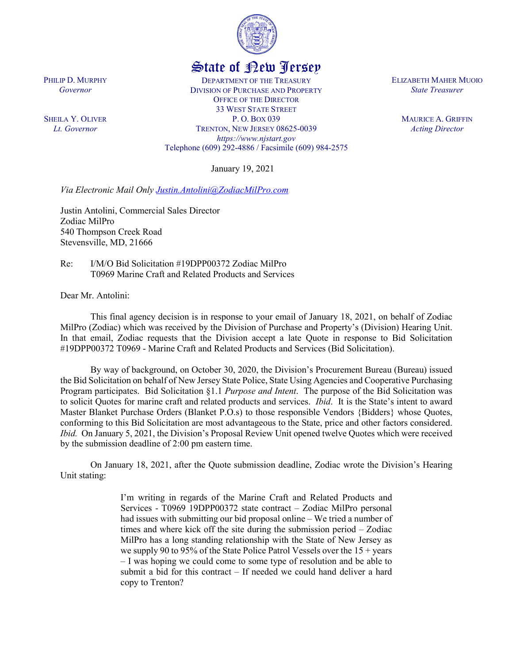

## State of New Jersey

DEPARTMENT OF THE TREASURY DIVISION OF PURCHASE AND PROPERTY OFFICE OF THE DIRECTOR 33 WEST STATE STREET P. O. BOX 039 TRENTON, NEW JERSEY 08625-0039 *https://www.njstart.gov* Telephone (609) 292-4886 / Facsimile (609) 984-2575

January 19, 2021

*Via Electronic Mail Only [Justin.Antolini@ZodiacMilPro.com](mailto:Justin.Antolini@ZodiacMilPro.com)*

Justin Antolini, Commercial Sales Director Zodiac MilPro 540 Thompson Creek Road Stevensville, MD, 21666

Re: I/M/O Bid Solicitation #19DPP00372 Zodiac MilPro T0969 Marine Craft and Related Products and Services

Dear Mr. Antolini:

This final agency decision is in response to your email of January 18, 2021, on behalf of Zodiac MilPro (Zodiac) which was received by the Division of Purchase and Property's (Division) Hearing Unit. In that email, Zodiac requests that the Division accept a late Quote in response to Bid Solicitation #19DPP00372 T0969 - Marine Craft and Related Products and Services (Bid Solicitation).

By way of background, on October 30, 2020, the Division's Procurement Bureau (Bureau) issued the Bid Solicitation on behalf of New Jersey State Police, State Using Agencies and Cooperative Purchasing Program participates. Bid Solicitation §1.1 *Purpose and Intent*. The purpose of the Bid Solicitation was to solicit Quotes for marine craft and related products and services. *Ibid*. It is the State's intent to award Master Blanket Purchase Orders (Blanket P.O.s) to those responsible Vendors {Bidders} whose Quotes, conforming to this Bid Solicitation are most advantageous to the State, price and other factors considered. *Ibid.* On January 5, 2021, the Division's Proposal Review Unit opened twelve Quotes which were received by the submission deadline of 2:00 pm eastern time.

On January 18, 2021, after the Quote submission deadline, Zodiac wrote the Division's Hearing Unit stating:

> I'm writing in regards of the Marine Craft and Related Products and Services - T0969 19DPP00372 state contract – Zodiac MilPro personal had issues with submitting our bid proposal online – We tried a number of times and where kick off the site during the submission period – Zodiac MilPro has a long standing relationship with the State of New Jersey as we supply 90 to 95% of the State Police Patrol Vessels over the  $15 + \text{years}$ – I was hoping we could come to some type of resolution and be able to submit a bid for this contract – If needed we could hand deliver a hard copy to Trenton?

PHILIP D. MURPHY *Governor*

SHEILA Y. OLIVER *Lt. Governor*

ELIZABETH MAHER MUOIO *State Treasurer*

> MAURICE A. GRIFFIN *Acting Director*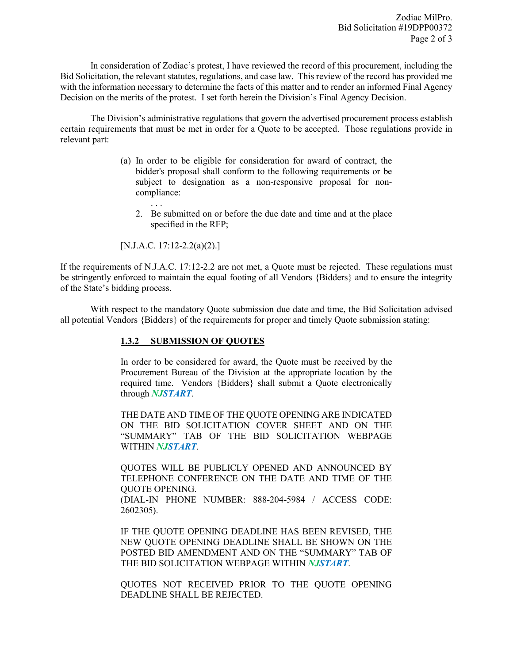In consideration of Zodiac's protest, I have reviewed the record of this procurement, including the Bid Solicitation, the relevant statutes, regulations, and case law. This review of the record has provided me with the information necessary to determine the facts of this matter and to render an informed Final Agency Decision on the merits of the protest. I set forth herein the Division's Final Agency Decision.

The Division's administrative regulations that govern the advertised procurement process establish certain requirements that must be met in order for a Quote to be accepted. Those regulations provide in relevant part:

- (a) In order to be eligible for consideration for award of contract, the bidder's proposal shall conform to the following requirements or be subject to designation as a non-responsive proposal for noncompliance:
	- 2. Be submitted on or before the due date and time and at the place specified in the RFP;

[N.J.A.C. 17:12-2.2(a)(2).]

. . .

If the requirements of N.J.A.C. 17:12-2.2 are not met, a Quote must be rejected. These regulations must be stringently enforced to maintain the equal footing of all Vendors {Bidders} and to ensure the integrity of the State's bidding process.

With respect to the mandatory Quote submission due date and time, the Bid Solicitation advised all potential Vendors {Bidders} of the requirements for proper and timely Quote submission stating:

## **1.3.2 SUBMISSION OF QUOTES**

In order to be considered for award, the Quote must be received by the Procurement Bureau of the Division at the appropriate location by the required time. Vendors {Bidders} shall submit a Quote electronically through *NJSTART*.

THE DATE AND TIME OF THE QUOTE OPENING ARE INDICATED ON THE BID SOLICITATION COVER SHEET AND ON THE "SUMMARY" TAB OF THE BID SOLICITATION WEBPAGE WITHIN *NJSTART*.

QUOTES WILL BE PUBLICLY OPENED AND ANNOUNCED BY TELEPHONE CONFERENCE ON THE DATE AND TIME OF THE QUOTE OPENING. (DIAL-IN PHONE NUMBER: 888-204-5984 / ACCESS CODE: 2602305).

IF THE QUOTE OPENING DEADLINE HAS BEEN REVISED, THE NEW QUOTE OPENING DEADLINE SHALL BE SHOWN ON THE POSTED BID AMENDMENT AND ON THE "SUMMARY" TAB OF THE BID SOLICITATION WEBPAGE WITHIN *NJSTART*.

QUOTES NOT RECEIVED PRIOR TO THE QUOTE OPENING DEADLINE SHALL BE REJECTED.